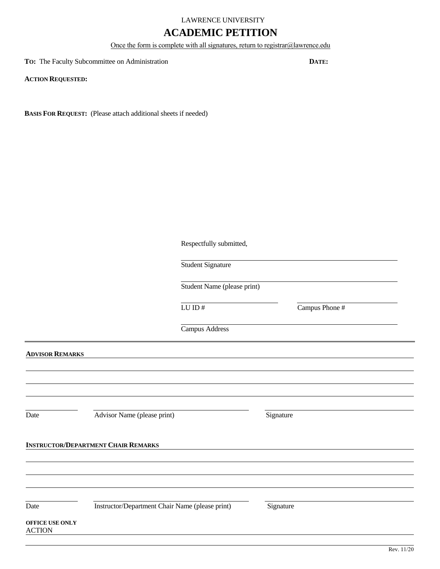# LAWRENCE UNIVERSITY

# **ACADEMIC PETITION**

Once the form is complete with all signatures, return to registrar@lawrence.edu

**TO:** The Faculty Subcommittee on Administration **DATE:**

**ACTION REQUESTED:**

**BASIS FOR REQUEST:** (Please attach additional sheets if needed)

|                                  |                                                 | Respectfully submitted,                          |                |            |
|----------------------------------|-------------------------------------------------|--------------------------------------------------|----------------|------------|
|                                  |                                                 | Student Signature<br>Student Name (please print) |                |            |
|                                  |                                                 |                                                  |                |            |
|                                  |                                                 | ${\rm LU}$ ID $\#$                               | Campus Phone # |            |
|                                  |                                                 | Campus Address                                   |                |            |
| <b>ADVISOR REMARKS</b>           |                                                 |                                                  |                |            |
|                                  |                                                 |                                                  |                |            |
|                                  |                                                 |                                                  |                |            |
| Date                             | Advisor Name (please print)                     |                                                  | Signature      |            |
|                                  | <b>INSTRUCTOR/DEPARTMENT CHAIR REMARKS</b>      |                                                  |                |            |
|                                  |                                                 |                                                  |                |            |
|                                  |                                                 |                                                  |                |            |
| Date                             | Instructor/Department Chair Name (please print) |                                                  | Signature      |            |
| OFFICE USE ONLY<br><b>ACTION</b> |                                                 |                                                  |                |            |
|                                  |                                                 |                                                  |                | Rev. 11/20 |